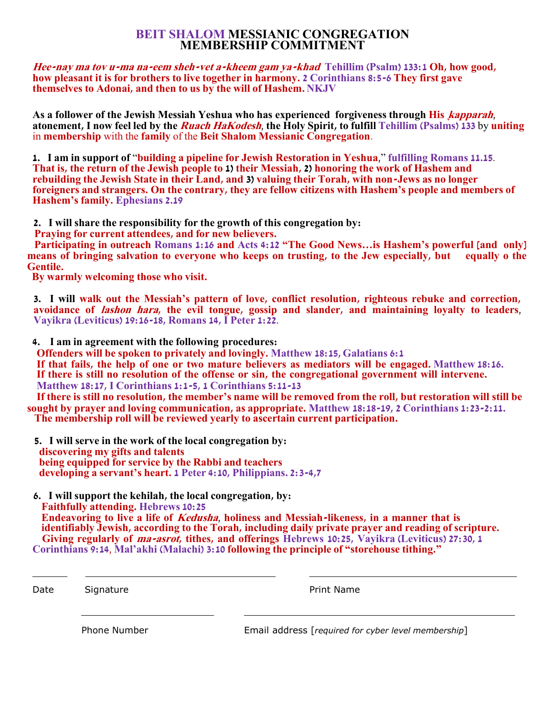## **BEIT SHALOM MESSIANIC CONGREGATION MEMBERSHIP COMMITMENT**

**Hee-nay ma tov u-ma na-eem sheh-vet a-kheem gam ya-khad Tehillim (Psalm) 133:1 Oh, how good, how pleasant it is for brothers to live together in harmony. 2 Corinthians 8:5-6 They first gave themselves to Adonai, and then to us by the will of Hashem. NKJV**

**As a follower of the Jewish Messiah Yeshua who has experienced forgiveness through His ָkapparah**, **atonement, I now feel led by the Ruach HaKodesh**, **the Holy Spirit, to fulfill Tehillim (Psalms) 133** by **uniting** in **membership** with the **family** of the **Beit Shalom Messianic Congregation**.

**1. I am in support of** "**building a pipeline for Jewish Restoration in Yeshua**," **fulfilling Romans 11.15**. **That is, the return of the Jewish people to 1) their Messiah, 2) honoring the work of Hashem and rebuilding the Jewish State in their Land, and 3) valuing their Torah, with non-Jews as no longer foreigners and strangers. On the contrary, they are fellow citizens with Hashem's people and members of Hashem's family. Ephesians 2.19**

**2. I will share the responsibility for the growth of this congregation by:**

 **Praying for current attendees, and for new believers.**

 **Participating in outreach Romans 1:16 and Acts 4:12 "The Good News…is Hashem's powerful [and only]**  means of bringing salvation to everyone who keeps on trusting, to the Jew especially, but **Gentile.**

 **By warmly welcoming those who visit.**

**3. I will walk out the Messiah's pattern of love, conflict resolution, righteous rebuke and correction, avoidance of lashon hara, the evil tongue, gossip and slander, and maintaining loyalty to leaders**, **Vayikra (Leviticus) 19:16-18, Romans 14, I Peter 1:22**.

**4. I am in agreement with the following procedures:**

 **Offenders will be spoken to privately and lovingly. Matthew 18:15, Galatians 6:1**

 **If that fails, the help of one or two mature believers as mediators will be engaged. Matthew 18:16. If there is still no resolution of the offense or sin, the congregational government will intervene. Matthew 18:17, I Corinthians 1:1-5, 1 Corinthians 5:11-13**

 **If there is still no resolution, the member's name will be removed from the roll, but restoration will still be sought by prayer and loving communication, as appropriate. Matthew 18:18-19, 2 Corinthians 1:23-2:11. The membership roll will be reviewed yearly to ascertain current participation.**

- **5. I will serve in the work of the local congregation by: discovering my gifts and talents being equipped for service by the Rabbi and teachers developing a servant's heart. 1 Peter 4:10, Philippians. 2:3-4,7**
- **6. I will support the kehilah, the local congregation, by: Faithfully attending. Hebrews 10:25 Endeavoring to live a life of Kedusha**, **holiness and Messiah-likeness, in a manner that is identifiably Jewish, according to the Torah, including daily private prayer and reading of scripture. Giving regularly of ma-asrot, tithes, and offerings Hebrews 10:25, Vayikra (Leviticus) 27:30, 1**

**Corinthians 9:14**, **Mal'akhi (Malachi) 3:10 following the principle of "storehouse tithing."**

Date Signature **Print Name** 

Phone Number Email address [*required for cyber level membership*]